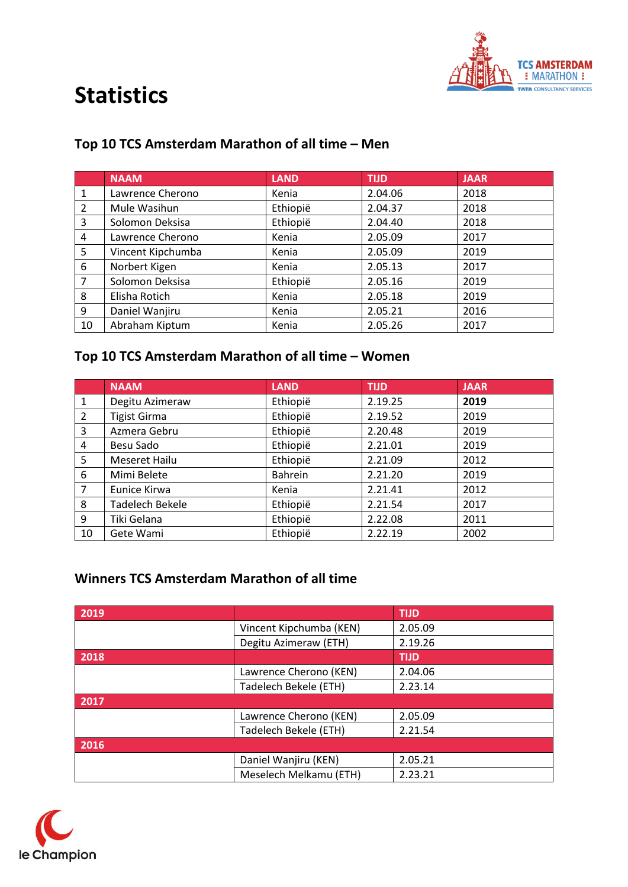

#### **Top 10 TCS Amsterdam Marathon of all time – Men**

|              | <b>NAAM</b>       | <b>LAND</b> | <b>TIJD</b> | <b>JAAR</b> |
|--------------|-------------------|-------------|-------------|-------------|
| $\mathbf{1}$ | Lawrence Cherono  | Kenia       | 2.04.06     | 2018        |
| 2            | Mule Wasihun      | Ethiopië    | 2.04.37     | 2018        |
| 3            | Solomon Deksisa   | Ethiopië    | 2.04.40     | 2018        |
| 4            | Lawrence Cherono  | Kenia       | 2.05.09     | 2017        |
| 5            | Vincent Kipchumba | Kenia       | 2.05.09     | 2019        |
| 6            | Norbert Kigen     | Kenia       | 2.05.13     | 2017        |
| 7            | Solomon Deksisa   | Ethiopië    | 2.05.16     | 2019        |
| 8            | Elisha Rotich     | Kenia       | 2.05.18     | 2019        |
| 9            | Daniel Wanjiru    | Kenia       | 2.05.21     | 2016        |
| 10           | Abraham Kiptum    | Kenia       | 2.05.26     | 2017        |

### **Top 10 TCS Amsterdam Marathon of all time – Women**

|                | <b>NAAM</b>         | <b>LAND</b> | <b>TIJD</b> | <b>JAAR</b> |
|----------------|---------------------|-------------|-------------|-------------|
| 1              | Degitu Azimeraw     | Ethiopië    | 2.19.25     | 2019        |
| 2              | <b>Tigist Girma</b> | Ethiopië    | 2.19.52     | 2019        |
| 3              | Azmera Gebru        | Ethiopië    | 2.20.48     | 2019        |
| 4              | Besu Sado           | Ethiopië    | 2.21.01     | 2019        |
| 5              | Meseret Hailu       | Ethiopië    | 2.21.09     | 2012        |
| 6              | Mimi Belete         | Bahrein     | 2.21.20     | 2019        |
| $\overline{7}$ | Eunice Kirwa        | Kenia       | 2.21.41     | 2012        |
| 8              | Tadelech Bekele     | Ethiopië    | 2.21.54     | 2017        |
| 9              | Tiki Gelana         | Ethiopië    | 2.22.08     | 2011        |
| 10             | Gete Wami           | Ethiopië    | 2.22.19     | 2002        |

### **Winners TCS Amsterdam Marathon of all time**

| 2019 |                         | <b>TIJD</b> |
|------|-------------------------|-------------|
|      | Vincent Kipchumba (KEN) | 2.05.09     |
|      | Degitu Azimeraw (ETH)   | 2.19.26     |
| 2018 |                         | <b>TIJD</b> |
|      | Lawrence Cherono (KEN)  | 2.04.06     |
|      | Tadelech Bekele (ETH)   | 2.23.14     |
| 2017 |                         |             |
|      | Lawrence Cherono (KEN)  | 2.05.09     |
|      | Tadelech Bekele (ETH)   | 2.21.54     |
| 2016 |                         |             |
|      | Daniel Wanjiru (KEN)    | 2.05.21     |
|      | Meselech Melkamu (ETH)  | 2.23.21     |

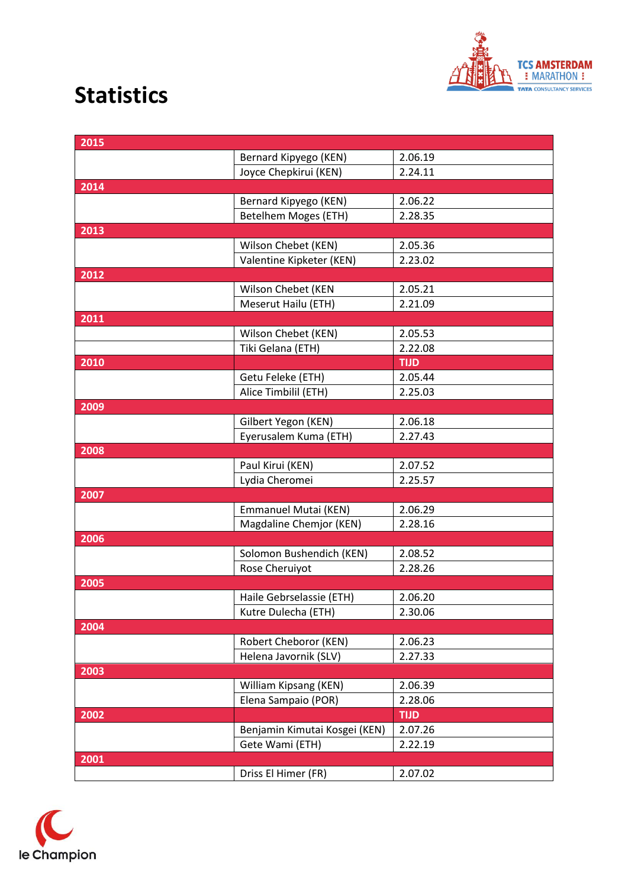

| 2015 |                               |             |
|------|-------------------------------|-------------|
|      | Bernard Kipyego (KEN)         | 2.06.19     |
|      | Joyce Chepkirui (KEN)         | 2.24.11     |
| 2014 |                               |             |
|      | Bernard Kipyego (KEN)         | 2.06.22     |
|      | <b>Betelhem Moges (ETH)</b>   | 2.28.35     |
| 2013 |                               |             |
|      | Wilson Chebet (KEN)           | 2.05.36     |
|      | Valentine Kipketer (KEN)      | 2.23.02     |
| 2012 |                               |             |
|      | Wilson Chebet (KEN            | 2.05.21     |
|      | Meserut Hailu (ETH)           | 2.21.09     |
| 2011 |                               |             |
|      | Wilson Chebet (KEN)           | 2.05.53     |
|      | Tiki Gelana (ETH)             | 2.22.08     |
| 2010 |                               | TIJD        |
|      | Getu Feleke (ETH)             | 2.05.44     |
|      | Alice Timbilil (ETH)          | 2.25.03     |
| 2009 |                               |             |
|      | Gilbert Yegon (KEN)           | 2.06.18     |
|      | Eyerusalem Kuma (ETH)         | 2.27.43     |
| 2008 |                               |             |
|      | Paul Kirui (KEN)              | 2.07.52     |
|      | Lydia Cheromei                | 2.25.57     |
| 2007 |                               |             |
|      | Emmanuel Mutai (KEN)          | 2.06.29     |
|      | Magdaline Chemjor (KEN)       | 2.28.16     |
| 2006 |                               |             |
|      | Solomon Bushendich (KEN)      | 2.08.52     |
|      | Rose Cheruiyot                | 2.28.26     |
| 2005 |                               |             |
|      | Haile Gebrselassie (ETH)      | 2.06.20     |
|      | Kutre Dulecha (ETH)           | 2.30.06     |
| 2004 |                               |             |
|      | Robert Cheboror (KEN)         | 2.06.23     |
|      | Helena Javornik (SLV)         | 2.27.33     |
| 2003 |                               |             |
|      | William Kipsang (KEN)         | 2.06.39     |
|      | Elena Sampaio (POR)           | 2.28.06     |
| 2002 |                               | <b>TIJD</b> |
|      | Benjamin Kimutai Kosgei (KEN) | 2.07.26     |
|      | Gete Wami (ETH)               | 2.22.19     |
| 2001 |                               |             |
|      | Driss El Himer (FR)           | 2.07.02     |
|      |                               |             |

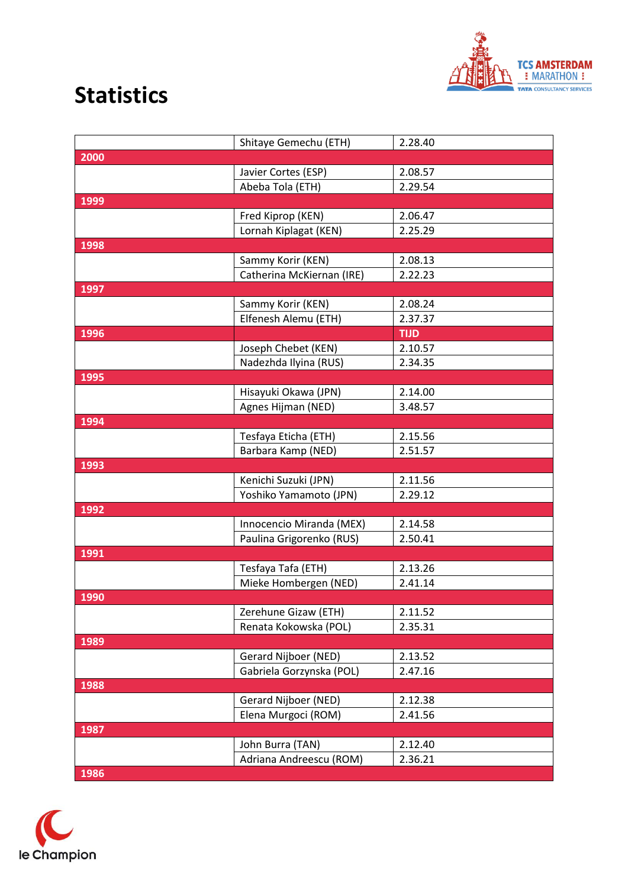

|      | Shitaye Gemechu (ETH)     | 2.28.40     |
|------|---------------------------|-------------|
| 2000 |                           |             |
|      | Javier Cortes (ESP)       | 2.08.57     |
|      | Abeba Tola (ETH)          | 2.29.54     |
| 1999 |                           |             |
|      | Fred Kiprop (KEN)         | 2.06.47     |
|      | Lornah Kiplagat (KEN)     | 2.25.29     |
| 1998 |                           |             |
|      | Sammy Korir (KEN)         | 2.08.13     |
|      | Catherina McKiernan (IRE) | 2.22.23     |
| 1997 |                           |             |
|      | Sammy Korir (KEN)         | 2.08.24     |
|      | Elfenesh Alemu (ETH)      | 2.37.37     |
| 1996 |                           | <b>TIJD</b> |
|      | Joseph Chebet (KEN)       | 2.10.57     |
|      | Nadezhda Ilyina (RUS)     | 2.34.35     |
| 1995 |                           |             |
|      | Hisayuki Okawa (JPN)      | 2.14.00     |
|      | Agnes Hijman (NED)        | 3.48.57     |
| 1994 |                           |             |
|      | Tesfaya Eticha (ETH)      | 2.15.56     |
|      | Barbara Kamp (NED)        | 2.51.57     |
| 1993 |                           |             |
|      | Kenichi Suzuki (JPN)      | 2.11.56     |
|      | Yoshiko Yamamoto (JPN)    | 2.29.12     |
| 1992 |                           |             |
|      | Innocencio Miranda (MEX)  | 2.14.58     |
|      | Paulina Grigorenko (RUS)  | 2.50.41     |
| 1991 |                           |             |
|      | Tesfaya Tafa (ETH)        | 2.13.26     |
|      | Mieke Hombergen (NED)     | 2.41.14     |
| 1990 |                           |             |
|      | Zerehune Gizaw (ETH)      | 2.11.52     |
|      | Renata Kokowska (POL)     | 2.35.31     |
| 1989 |                           |             |
|      | Gerard Nijboer (NED)      | 2.13.52     |
|      | Gabriela Gorzynska (POL)  | 2.47.16     |
| 1988 |                           |             |
|      | Gerard Nijboer (NED)      | 2.12.38     |
|      | Elena Murgoci (ROM)       | 2.41.56     |
| 1987 |                           |             |
|      | John Burra (TAN)          | 2.12.40     |
|      | Adriana Andreescu (ROM)   | 2.36.21     |
| 1986 |                           |             |

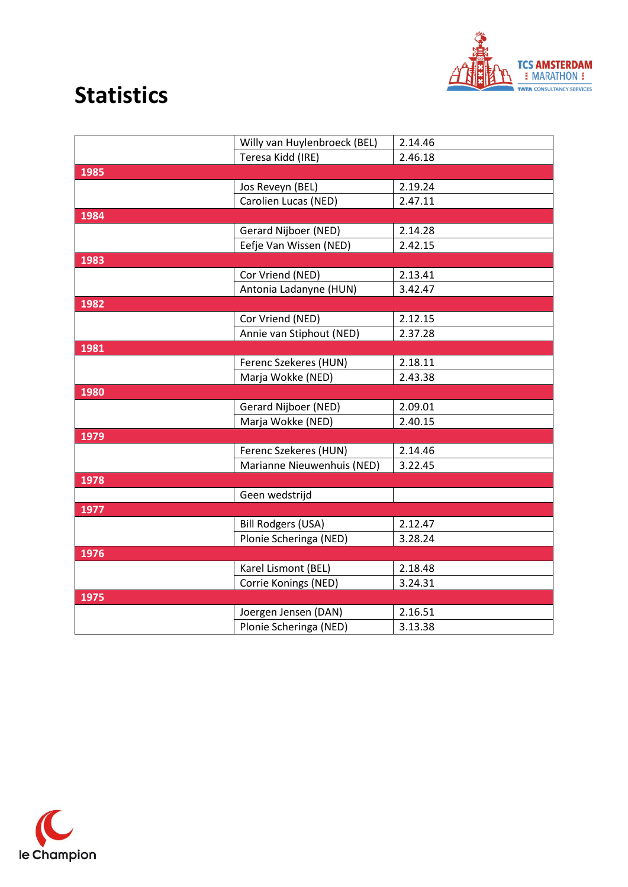

|      | Willy van Huylenbroeck (BEL) | 2.14.46 |
|------|------------------------------|---------|
|      | Teresa Kidd (IRE)            | 2.46.18 |
| 1985 |                              |         |
|      | Jos Reveyn (BEL)             | 2.19.24 |
|      | Carolien Lucas (NED)         | 2.47.11 |
| 1984 |                              |         |
|      | Gerard Nijboer (NED)         | 2.14.28 |
|      | Eefje Van Wissen (NED)       | 2.42.15 |
| 1983 |                              |         |
|      | Cor Vriend (NED)             | 2.13.41 |
|      | Antonia Ladanyne (HUN)       | 3.42.47 |
| 1982 |                              |         |
|      | Cor Vriend (NED)             | 2.12.15 |
|      | Annie van Stiphout (NED)     | 2.37.28 |
| 1981 |                              |         |
|      | Ferenc Szekeres (HUN)        | 2.18.11 |
|      | Marja Wokke (NED)            | 2.43.38 |
| 1980 |                              |         |
|      | Gerard Nijboer (NED)         | 2.09.01 |
|      | Marja Wokke (NED)            | 2.40.15 |
| 1979 |                              |         |
|      | Ferenc Szekeres (HUN)        | 2.14.46 |
|      | Marianne Nieuwenhuis (NED)   | 3.22.45 |
| 1978 |                              |         |
|      | Geen wedstrijd               |         |
| 1977 |                              |         |
|      | <b>Bill Rodgers (USA)</b>    | 2.12.47 |
|      | Plonie Scheringa (NED)       | 3.28.24 |
| 1976 |                              |         |
|      | Karel Lismont (BEL)          | 2.18.48 |
|      | Corrie Konings (NED)         | 3.24.31 |
| 1975 |                              |         |
|      | Joergen Jensen (DAN)         | 2.16.51 |
|      | Plonie Scheringa (NED)       | 3.13.38 |